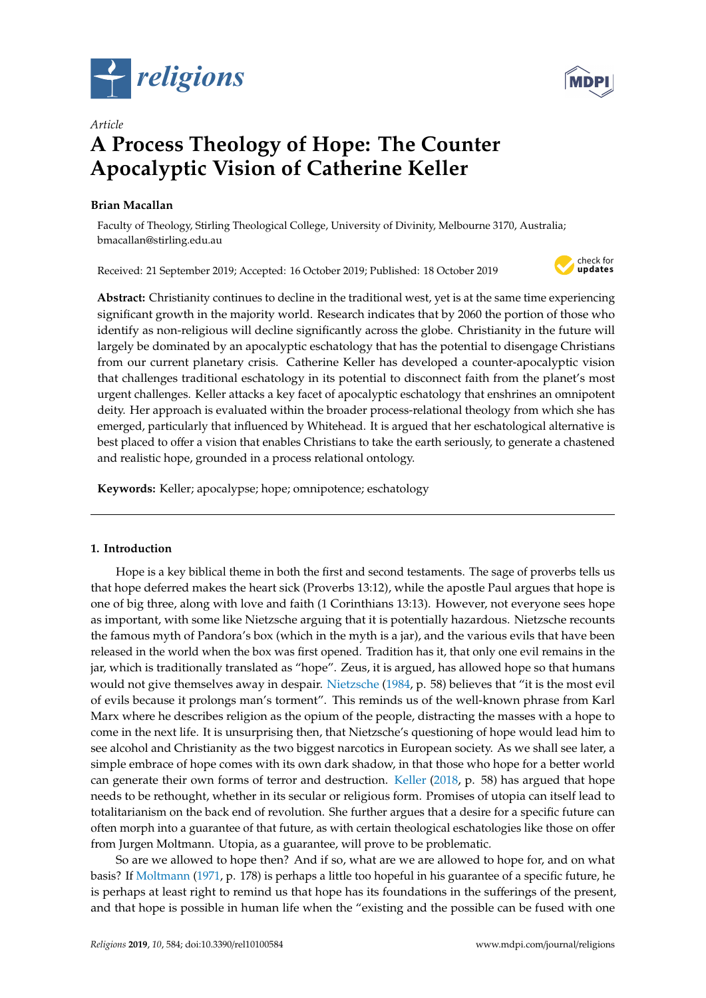



# *Article* **A Process Theology of Hope: The Counter Apocalyptic Vision of Catherine Keller**

# **Brian Macallan**

Faculty of Theology, Stirling Theological College, University of Divinity, Melbourne 3170, Australia; bmacallan@stirling.edu.au

Received: 21 September 2019; Accepted: 16 October 2019; Published: 18 October 2019



**Abstract:** Christianity continues to decline in the traditional west, yet is at the same time experiencing significant growth in the majority world. Research indicates that by 2060 the portion of those who identify as non-religious will decline significantly across the globe. Christianity in the future will largely be dominated by an apocalyptic eschatology that has the potential to disengage Christians from our current planetary crisis. Catherine Keller has developed a counter-apocalyptic vision that challenges traditional eschatology in its potential to disconnect faith from the planet's most urgent challenges. Keller attacks a key facet of apocalyptic eschatology that enshrines an omnipotent deity. Her approach is evaluated within the broader process-relational theology from which she has emerged, particularly that influenced by Whitehead. It is argued that her eschatological alternative is best placed to offer a vision that enables Christians to take the earth seriously, to generate a chastened and realistic hope, grounded in a process relational ontology.

**Keywords:** Keller; apocalypse; hope; omnipotence; eschatology

# **1. Introduction**

Hope is a key biblical theme in both the first and second testaments. The sage of proverbs tells us that hope deferred makes the heart sick (Proverbs 13:12), while the apostle Paul argues that hope is one of big three, along with love and faith (1 Corinthians 13:13). However, not everyone sees hope as important, with some like Nietzsche arguing that it is potentially hazardous. Nietzsche recounts the famous myth of Pandora's box (which in the myth is a jar), and the various evils that have been released in the world when the box was first opened. Tradition has it, that only one evil remains in the jar, which is traditionally translated as "hope". Zeus, it is argued, has allowed hope so that humans would not give themselves away in despair. [Nietzsche](#page-8-0) [\(1984,](#page-8-0) p. 58) believes that "it is the most evil of evils because it prolongs man's torment". This reminds us of the well-known phrase from Karl Marx where he describes religion as the opium of the people, distracting the masses with a hope to come in the next life. It is unsurprising then, that Nietzsche's questioning of hope would lead him to see alcohol and Christianity as the two biggest narcotics in European society. As we shall see later, a simple embrace of hope comes with its own dark shadow, in that those who hope for a better world can generate their own forms of terror and destruction. [Keller](#page-8-1) [\(2018,](#page-8-1) p. 58) has argued that hope needs to be rethought, whether in its secular or religious form. Promises of utopia can itself lead to totalitarianism on the back end of revolution. She further argues that a desire for a specific future can often morph into a guarantee of that future, as with certain theological eschatologies like those on offer from Jurgen Moltmann. Utopia, as a guarantee, will prove to be problematic.

So are we allowed to hope then? And if so, what are we are allowed to hope for, and on what basis? If [Moltmann](#page-8-2) [\(1971,](#page-8-2) p. 178) is perhaps a little too hopeful in his guarantee of a specific future, he is perhaps at least right to remind us that hope has its foundations in the sufferings of the present, and that hope is possible in human life when the "existing and the possible can be fused with one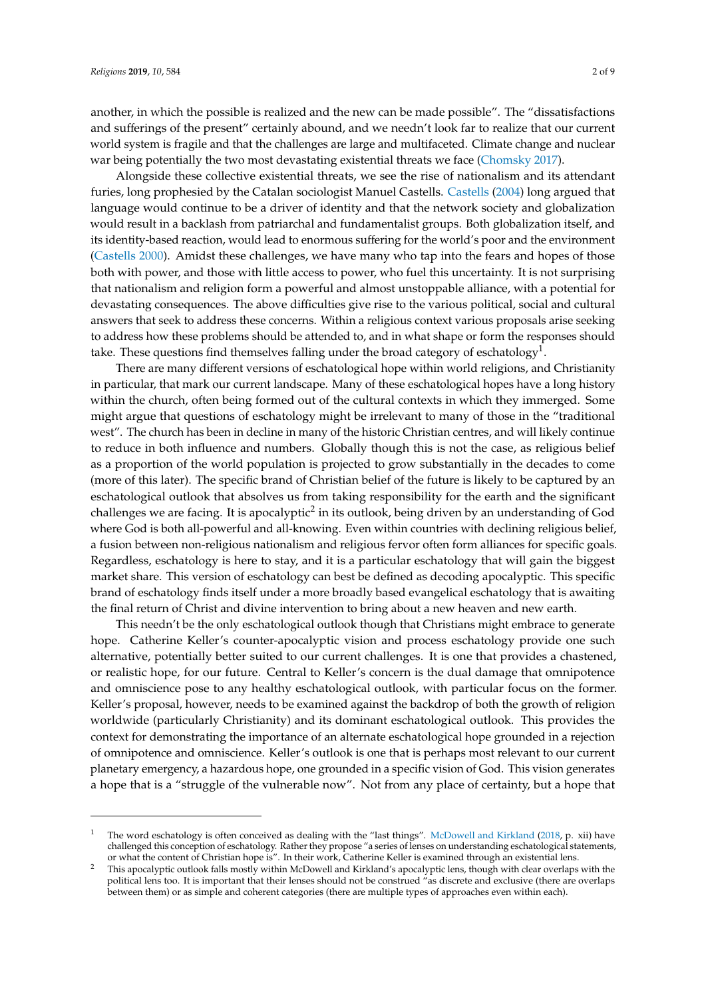another, in which the possible is realized and the new can be made possible". The "dissatisfactions and sufferings of the present" certainly abound, and we needn't look far to realize that our current world system is fragile and that the challenges are large and multifaceted. Climate change and nuclear war being potentially the two most devastating existential threats we face [\(Chomsky](#page-8-3) [2017\)](#page-8-3).

Alongside these collective existential threats, we see the rise of nationalism and its attendant furies, long prophesied by the Catalan sociologist Manuel Castells. [Castells](#page-8-4) [\(2004\)](#page-8-4) long argued that language would continue to be a driver of identity and that the network society and globalization would result in a backlash from patriarchal and fundamentalist groups. Both globalization itself, and its identity-based reaction, would lead to enormous suffering for the world's poor and the environment [\(Castells](#page-8-5) [2000\)](#page-8-5). Amidst these challenges, we have many who tap into the fears and hopes of those both with power, and those with little access to power, who fuel this uncertainty. It is not surprising that nationalism and religion form a powerful and almost unstoppable alliance, with a potential for devastating consequences. The above difficulties give rise to the various political, social and cultural answers that seek to address these concerns. Within a religious context various proposals arise seeking to address how these problems should be attended to, and in what shape or form the responses should take. These questions find themselves falling under the broad category of eschatology<sup>1</sup>.

There are many different versions of eschatological hope within world religions, and Christianity in particular, that mark our current landscape. Many of these eschatological hopes have a long history within the church, often being formed out of the cultural contexts in which they immerged. Some might argue that questions of eschatology might be irrelevant to many of those in the "traditional west". The church has been in decline in many of the historic Christian centres, and will likely continue to reduce in both influence and numbers. Globally though this is not the case, as religious belief as a proportion of the world population is projected to grow substantially in the decades to come (more of this later). The specific brand of Christian belief of the future is likely to be captured by an eschatological outlook that absolves us from taking responsibility for the earth and the significant challenges we are facing. It is apocalyptic<sup>2</sup> in its outlook, being driven by an understanding of God where God is both all-powerful and all-knowing. Even within countries with declining religious belief, a fusion between non-religious nationalism and religious fervor often form alliances for specific goals. Regardless, eschatology is here to stay, and it is a particular eschatology that will gain the biggest market share. This version of eschatology can best be defined as decoding apocalyptic. This specific brand of eschatology finds itself under a more broadly based evangelical eschatology that is awaiting the final return of Christ and divine intervention to bring about a new heaven and new earth.

This needn't be the only eschatological outlook though that Christians might embrace to generate hope. Catherine Keller's counter-apocalyptic vision and process eschatology provide one such alternative, potentially better suited to our current challenges. It is one that provides a chastened, or realistic hope, for our future. Central to Keller's concern is the dual damage that omnipotence and omniscience pose to any healthy eschatological outlook, with particular focus on the former. Keller's proposal, however, needs to be examined against the backdrop of both the growth of religion worldwide (particularly Christianity) and its dominant eschatological outlook. This provides the context for demonstrating the importance of an alternate eschatological hope grounded in a rejection of omnipotence and omniscience. Keller's outlook is one that is perhaps most relevant to our current planetary emergency, a hazardous hope, one grounded in a specific vision of God. This vision generates a hope that is a "struggle of the vulnerable now". Not from any place of certainty, but a hope that

<sup>&</sup>lt;sup>1</sup> The word eschatology is often conceived as dealing with the "last things". [McDowell and Kirkland](#page-8-6) [\(2018,](#page-8-6) p. xii) have challenged this conception of eschatology. Rather they propose "a series of lenses on understanding eschatological statements, or what the content of Christian hope is". In their work, Catherine Keller is examined through an existential lens.

<sup>2</sup> This apocalyptic outlook falls mostly within McDowell and Kirkland's apocalyptic lens, though with clear overlaps with the political lens too. It is important that their lenses should not be construed "as discrete and exclusive (there are overlaps between them) or as simple and coherent categories (there are multiple types of approaches even within each).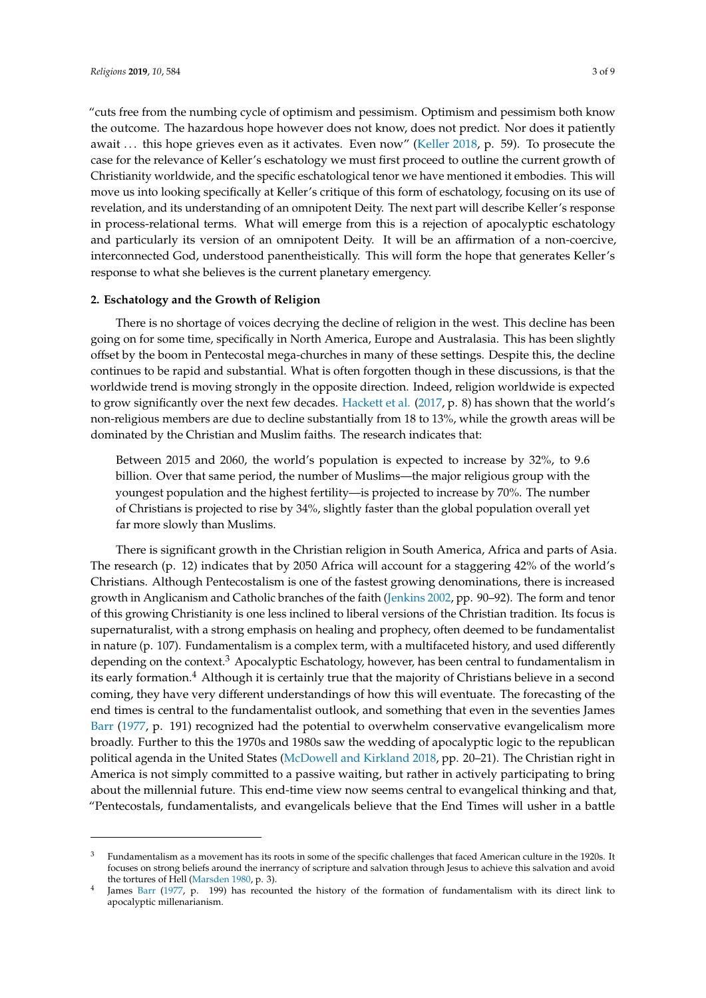"cuts free from the numbing cycle of optimism and pessimism. Optimism and pessimism both know the outcome. The hazardous hope however does not know, does not predict. Nor does it patiently await ... this hope grieves even as it activates. Even now" [\(Keller](#page-8-1) [2018,](#page-8-1) p. 59). To prosecute the case for the relevance of Keller's eschatology we must first proceed to outline the current growth of Christianity worldwide, and the specific eschatological tenor we have mentioned it embodies. This will move us into looking specifically at Keller's critique of this form of eschatology, focusing on its use of revelation, and its understanding of an omnipotent Deity. The next part will describe Keller's response in process-relational terms. What will emerge from this is a rejection of apocalyptic eschatology and particularly its version of an omnipotent Deity. It will be an affirmation of a non-coercive, interconnected God, understood panentheistically. This will form the hope that generates Keller's response to what she believes is the current planetary emergency.

#### **2. Eschatology and the Growth of Religion**

There is no shortage of voices decrying the decline of religion in the west. This decline has been going on for some time, specifically in North America, Europe and Australasia. This has been slightly offset by the boom in Pentecostal mega-churches in many of these settings. Despite this, the decline continues to be rapid and substantial. What is often forgotten though in these discussions, is that the worldwide trend is moving strongly in the opposite direction. Indeed, religion worldwide is expected to grow significantly over the next few decades. [Hackett et al.](#page-8-7) [\(2017,](#page-8-7) p. 8) has shown that the world's non-religious members are due to decline substantially from 18 to 13%, while the growth areas will be dominated by the Christian and Muslim faiths. The research indicates that:

Between 2015 and 2060, the world's population is expected to increase by 32%, to 9.6 billion. Over that same period, the number of Muslims—the major religious group with the youngest population and the highest fertility—is projected to increase by 70%. The number of Christians is projected to rise by 34%, slightly faster than the global population overall yet far more slowly than Muslims.

There is significant growth in the Christian religion in South America, Africa and parts of Asia. The research (p. 12) indicates that by 2050 Africa will account for a staggering 42% of the world's Christians. Although Pentecostalism is one of the fastest growing denominations, there is increased growth in Anglicanism and Catholic branches of the faith [\(Jenkins](#page-8-8) [2002,](#page-8-8) pp. 90–92). The form and tenor of this growing Christianity is one less inclined to liberal versions of the Christian tradition. Its focus is supernaturalist, with a strong emphasis on healing and prophecy, often deemed to be fundamentalist in nature (p. 107). Fundamentalism is a complex term, with a multifaceted history, and used differently depending on the context.<sup>3</sup> Apocalyptic Eschatology, however, has been central to fundamentalism in its early formation.<sup>4</sup> Although it is certainly true that the majority of Christians believe in a second coming, they have very different understandings of how this will eventuate. The forecasting of the end times is central to the fundamentalist outlook, and something that even in the seventies James [Barr](#page-8-9) [\(1977,](#page-8-9) p. 191) recognized had the potential to overwhelm conservative evangelicalism more broadly. Further to this the 1970s and 1980s saw the wedding of apocalyptic logic to the republican political agenda in the United States [\(McDowell and Kirkland](#page-8-6) [2018,](#page-8-6) pp. 20–21). The Christian right in America is not simply committed to a passive waiting, but rather in actively participating to bring about the millennial future. This end-time view now seems central to evangelical thinking and that, "Pentecostals, fundamentalists, and evangelicals believe that the End Times will usher in a battle

<sup>3</sup> Fundamentalism as a movement has its roots in some of the specific challenges that faced American culture in the 1920s. It focuses on strong beliefs around the inerrancy of scripture and salvation through Jesus to achieve this salvation and avoid the tortures of Hell [\(Marsden](#page-8-10) [1980,](#page-8-10) p. 3).

<sup>4</sup> James [Barr](#page-8-9) [\(1977,](#page-8-9) p. 199) has recounted the history of the formation of fundamentalism with its direct link to apocalyptic millenarianism.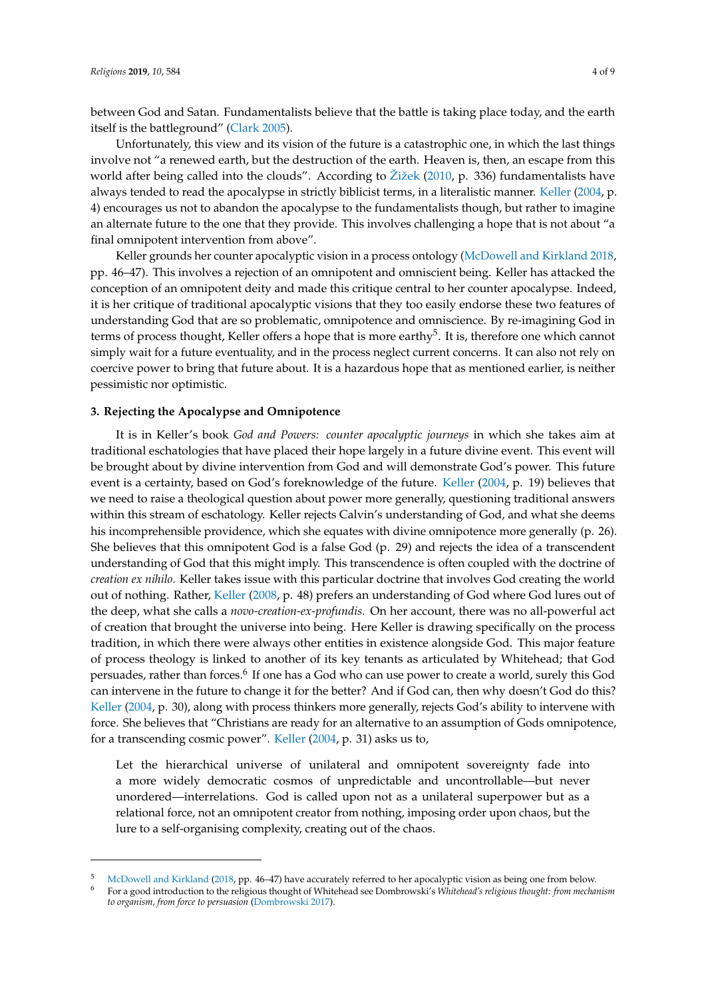between God and Satan. Fundamentalists believe that the battle is taking place today, and the earth itself is the battleground" [\(Clark](#page-8-11) [2005\)](#page-8-11).

Unfortunately, this view and its vision of the future is a catastrophic one, in which the last things involve not "a renewed earth, but the destruction of the earth. Heaven is, then, an escape from this world after being called into the clouds". According to [Žižek](#page-8-12) [\(2010,](#page-8-12) p. 336) fundamentalists have always tended to read the apocalypse in strictly biblicist terms, in a literalistic manner. [Keller](#page-8-13) [\(2004,](#page-8-13) p. 4) encourages us not to abandon the apocalypse to the fundamentalists though, but rather to imagine an alternate future to the one that they provide. This involves challenging a hope that is not about "a final omnipotent intervention from above".

Keller grounds her counter apocalyptic vision in a process ontology [\(McDowell and Kirkland](#page-8-6) [2018,](#page-8-6) pp. 46–47). This involves a rejection of an omnipotent and omniscient being. Keller has attacked the conception of an omnipotent deity and made this critique central to her counter apocalypse. Indeed, it is her critique of traditional apocalyptic visions that they too easily endorse these two features of understanding God that are so problematic, omnipotence and omniscience. By re-imagining God in terms of process thought, Keller offers a hope that is more earthy<sup>5</sup>. It is, therefore one which cannot simply wait for a future eventuality, and in the process neglect current concerns. It can also not rely on coercive power to bring that future about. It is a hazardous hope that as mentioned earlier, is neither pessimistic nor optimistic.

# **3. Rejecting the Apocalypse and Omnipotence**

It is in Keller's book *God and Powers: counter apocalyptic journeys* in which she takes aim at traditional eschatologies that have placed their hope largely in a future divine event. This event will be brought about by divine intervention from God and will demonstrate God's power. This future event is a certainty, based on God's foreknowledge of the future. [Keller](#page-8-13) [\(2004,](#page-8-13) p. 19) believes that we need to raise a theological question about power more generally, questioning traditional answers within this stream of eschatology. Keller rejects Calvin's understanding of God, and what she deems his incomprehensible providence, which she equates with divine omnipotence more generally (p. 26). She believes that this omnipotent God is a false God (p. 29) and rejects the idea of a transcendent understanding of God that this might imply. This transcendence is often coupled with the doctrine of *creation ex nihilo.* Keller takes issue with this particular doctrine that involves God creating the world out of nothing. Rather, [Keller](#page-8-14) [\(2008,](#page-8-14) p. 48) prefers an understanding of God where God lures out of the deep, what she calls a *novo-creation-ex-profundis.* On her account, there was no all-powerful act of creation that brought the universe into being. Here Keller is drawing specifically on the process tradition, in which there were always other entities in existence alongside God. This major feature of process theology is linked to another of its key tenants as articulated by Whitehead; that God persuades, rather than forces.<sup>6</sup> If one has a God who can use power to create a world, surely this God can intervene in the future to change it for the better? And if God can, then why doesn't God do this? [Keller](#page-8-13) [\(2004,](#page-8-13) p. 30), along with process thinkers more generally, rejects God's ability to intervene with force. She believes that "Christians are ready for an alternative to an assumption of Gods omnipotence, for a transcending cosmic power". [Keller](#page-8-13) [\(2004,](#page-8-13) p. 31) asks us to,

Let the hierarchical universe of unilateral and omnipotent sovereignty fade into a more widely democratic cosmos of unpredictable and uncontrollable—but never unordered—interrelations. God is called upon not as a unilateral superpower but as a relational force, not an omnipotent creator from nothing, imposing order upon chaos, but the lure to a self-organising complexity, creating out of the chaos.

<sup>5</sup> [McDowell and Kirkland](#page-8-6) [\(2018,](#page-8-6) pp. 46–47) have accurately referred to her apocalyptic vision as being one from below.

<sup>6</sup> For a good introduction to the religious thought of Whitehead see Dombrowski's *Whitehead's religious thought: from mechanism to organism, from force to persuasion* [\(Dombrowski](#page-8-15) [2017\)](#page-8-15).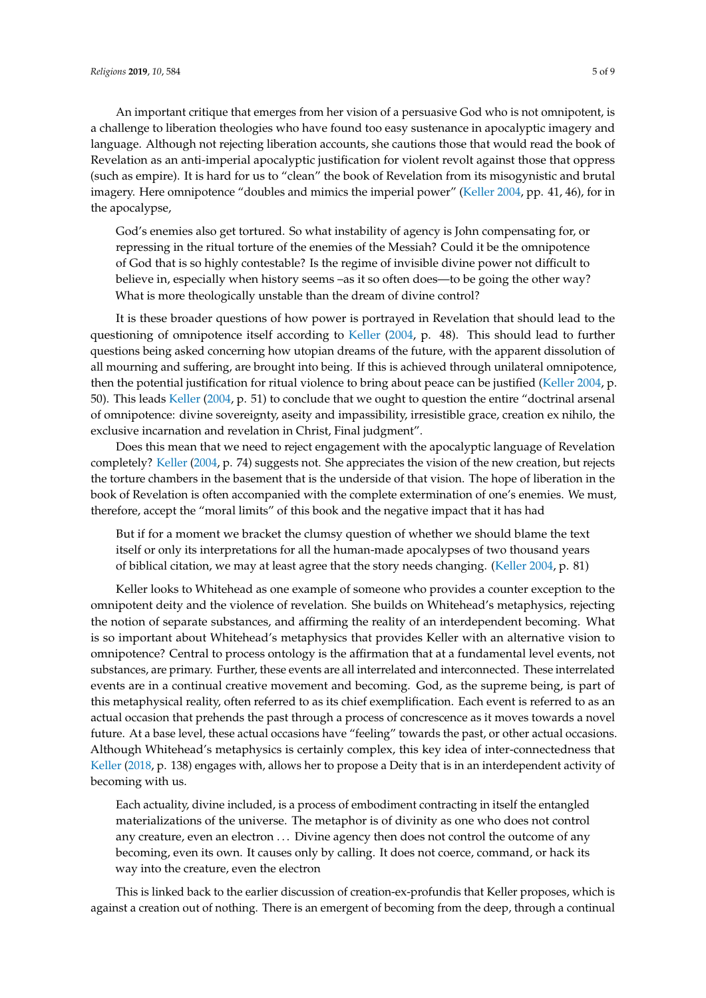An important critique that emerges from her vision of a persuasive God who is not omnipotent, is a challenge to liberation theologies who have found too easy sustenance in apocalyptic imagery and language. Although not rejecting liberation accounts, she cautions those that would read the book of Revelation as an anti-imperial apocalyptic justification for violent revolt against those that oppress (such as empire). It is hard for us to "clean" the book of Revelation from its misogynistic and brutal imagery. Here omnipotence "doubles and mimics the imperial power" [\(Keller](#page-8-13) [2004,](#page-8-13) pp. 41, 46), for in the apocalypse,

God's enemies also get tortured. So what instability of agency is John compensating for, or repressing in the ritual torture of the enemies of the Messiah? Could it be the omnipotence of God that is so highly contestable? Is the regime of invisible divine power not difficult to believe in, especially when history seems –as it so often does—to be going the other way? What is more theologically unstable than the dream of divine control?

It is these broader questions of how power is portrayed in Revelation that should lead to the questioning of omnipotence itself according to [Keller](#page-8-13) [\(2004,](#page-8-13) p. 48). This should lead to further questions being asked concerning how utopian dreams of the future, with the apparent dissolution of all mourning and suffering, are brought into being. If this is achieved through unilateral omnipotence, then the potential justification for ritual violence to bring about peace can be justified [\(Keller](#page-8-13) [2004,](#page-8-13) p. 50). This leads [Keller](#page-8-13) [\(2004,](#page-8-13) p. 51) to conclude that we ought to question the entire "doctrinal arsenal of omnipotence: divine sovereignty, aseity and impassibility, irresistible grace, creation ex nihilo, the exclusive incarnation and revelation in Christ, Final judgment".

Does this mean that we need to reject engagement with the apocalyptic language of Revelation completely? [Keller](#page-8-13) [\(2004,](#page-8-13) p. 74) suggests not. She appreciates the vision of the new creation, but rejects the torture chambers in the basement that is the underside of that vision. The hope of liberation in the book of Revelation is often accompanied with the complete extermination of one's enemies. We must, therefore, accept the "moral limits" of this book and the negative impact that it has had

But if for a moment we bracket the clumsy question of whether we should blame the text itself or only its interpretations for all the human-made apocalypses of two thousand years of biblical citation, we may at least agree that the story needs changing. [\(Keller](#page-8-13) [2004,](#page-8-13) p. 81)

Keller looks to Whitehead as one example of someone who provides a counter exception to the omnipotent deity and the violence of revelation. She builds on Whitehead's metaphysics, rejecting the notion of separate substances, and affirming the reality of an interdependent becoming. What is so important about Whitehead's metaphysics that provides Keller with an alternative vision to omnipotence? Central to process ontology is the affirmation that at a fundamental level events, not substances, are primary. Further, these events are all interrelated and interconnected. These interrelated events are in a continual creative movement and becoming. God, as the supreme being, is part of this metaphysical reality, often referred to as its chief exemplification. Each event is referred to as an actual occasion that prehends the past through a process of concrescence as it moves towards a novel future. At a base level, these actual occasions have "feeling" towards the past, or other actual occasions. Although Whitehead's metaphysics is certainly complex, this key idea of inter-connectedness that [Keller](#page-8-1) [\(2018,](#page-8-1) p. 138) engages with, allows her to propose a Deity that is in an interdependent activity of becoming with us.

Each actuality, divine included, is a process of embodiment contracting in itself the entangled materializations of the universe. The metaphor is of divinity as one who does not control any creature, even an electron ... Divine agency then does not control the outcome of any becoming, even its own. It causes only by calling. It does not coerce, command, or hack its way into the creature, even the electron

This is linked back to the earlier discussion of creation-ex-profundis that Keller proposes, which is against a creation out of nothing. There is an emergent of becoming from the deep, through a continual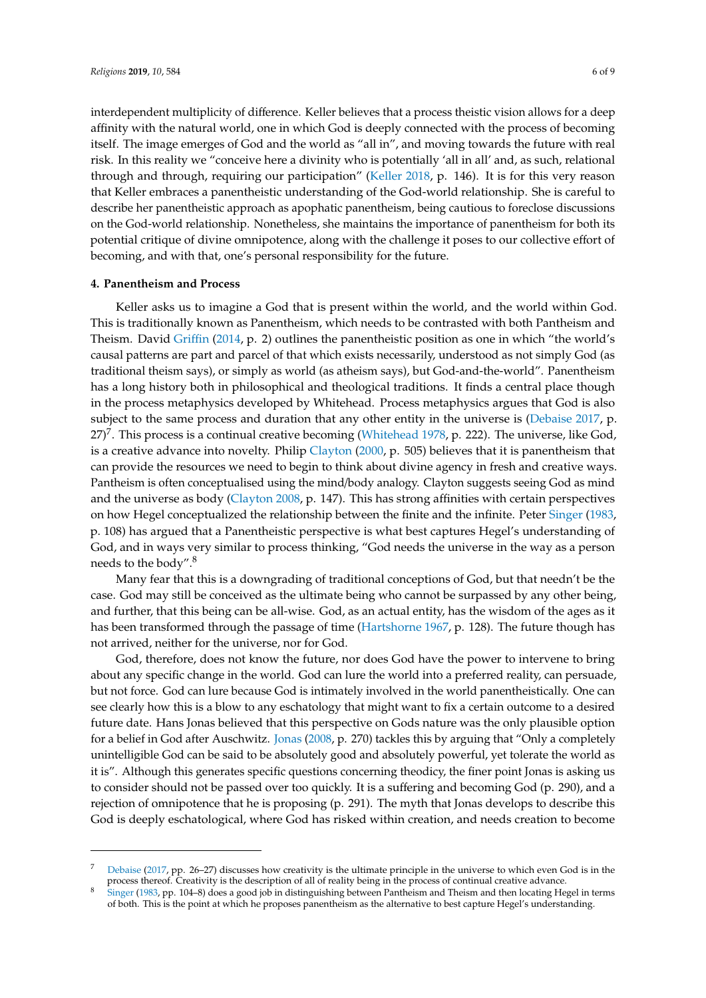interdependent multiplicity of difference. Keller believes that a process theistic vision allows for a deep affinity with the natural world, one in which God is deeply connected with the process of becoming itself. The image emerges of God and the world as "all in", and moving towards the future with real risk. In this reality we "conceive here a divinity who is potentially 'all in all' and, as such, relational through and through, requiring our participation" [\(Keller](#page-8-1) [2018,](#page-8-1) p. 146). It is for this very reason that Keller embraces a panentheistic understanding of the God-world relationship. She is careful to describe her panentheistic approach as apophatic panentheism, being cautious to foreclose discussions on the God-world relationship. Nonetheless, she maintains the importance of panentheism for both its potential critique of divine omnipotence, along with the challenge it poses to our collective effort of becoming, and with that, one's personal responsibility for the future.

### **4. Panentheism and Process**

Keller asks us to imagine a God that is present within the world, and the world within God. This is traditionally known as Panentheism, which needs to be contrasted with both Pantheism and Theism. David [Gri](#page-8-16)ffin [\(2014,](#page-8-16) p. 2) outlines the panentheistic position as one in which "the world's causal patterns are part and parcel of that which exists necessarily, understood as not simply God (as traditional theism says), or simply as world (as atheism says), but God-and-the-world". Panentheism has a long history both in philosophical and theological traditions. It finds a central place though in the process metaphysics developed by Whitehead. Process metaphysics argues that God is also subject to the same process and duration that any other entity in the universe is [\(Debaise](#page-8-17) [2017,](#page-8-17) p. 27)<sup>7</sup>. This process is a continual creative becoming [\(Whitehead](#page-8-18) [1978,](#page-8-18) p. 222). The universe, like God, is a creative advance into novelty. Philip [Clayton](#page-8-19) [\(2000,](#page-8-19) p. 505) believes that it is panentheism that can provide the resources we need to begin to think about divine agency in fresh and creative ways. Pantheism is often conceptualised using the mind/body analogy. Clayton suggests seeing God as mind and the universe as body [\(Clayton](#page-8-20) [2008,](#page-8-20) p. 147). This has strong affinities with certain perspectives on how Hegel conceptualized the relationship between the finite and the infinite. Peter [Singer](#page-8-21) [\(1983,](#page-8-21) p. 108) has argued that a Panentheistic perspective is what best captures Hegel's understanding of God, and in ways very similar to process thinking, "God needs the universe in the way as a person needs to the body".<sup>8</sup>

Many fear that this is a downgrading of traditional conceptions of God, but that needn't be the case. God may still be conceived as the ultimate being who cannot be surpassed by any other being, and further, that this being can be all-wise. God, as an actual entity, has the wisdom of the ages as it has been transformed through the passage of time [\(Hartshorne](#page-8-22) [1967,](#page-8-22) p. 128). The future though has not arrived, neither for the universe, nor for God.

God, therefore, does not know the future, nor does God have the power to intervene to bring about any specific change in the world. God can lure the world into a preferred reality, can persuade, but not force. God can lure because God is intimately involved in the world panentheistically. One can see clearly how this is a blow to any eschatology that might want to fix a certain outcome to a desired future date. Hans Jonas believed that this perspective on Gods nature was the only plausible option for a belief in God after Auschwitz. [Jonas](#page-8-23) [\(2008,](#page-8-23) p. 270) tackles this by arguing that "Only a completely unintelligible God can be said to be absolutely good and absolutely powerful, yet tolerate the world as it is". Although this generates specific questions concerning theodicy, the finer point Jonas is asking us to consider should not be passed over too quickly. It is a suffering and becoming God (p. 290), and a rejection of omnipotence that he is proposing (p. 291). The myth that Jonas develops to describe this God is deeply eschatological, where God has risked within creation, and needs creation to become

[Debaise](#page-8-17) [\(2017,](#page-8-17) pp. 26–27) discusses how creativity is the ultimate principle in the universe to which even God is in the process thereof. Creativity is the description of all of reality being in the process of continual creative advance.

<sup>8</sup> [Singer](#page-8-21) [\(1983,](#page-8-21) pp. 104–8) does a good job in distinguishing between Pantheism and Theism and then locating Hegel in terms of both. This is the point at which he proposes panentheism as the alternative to best capture Hegel's understanding.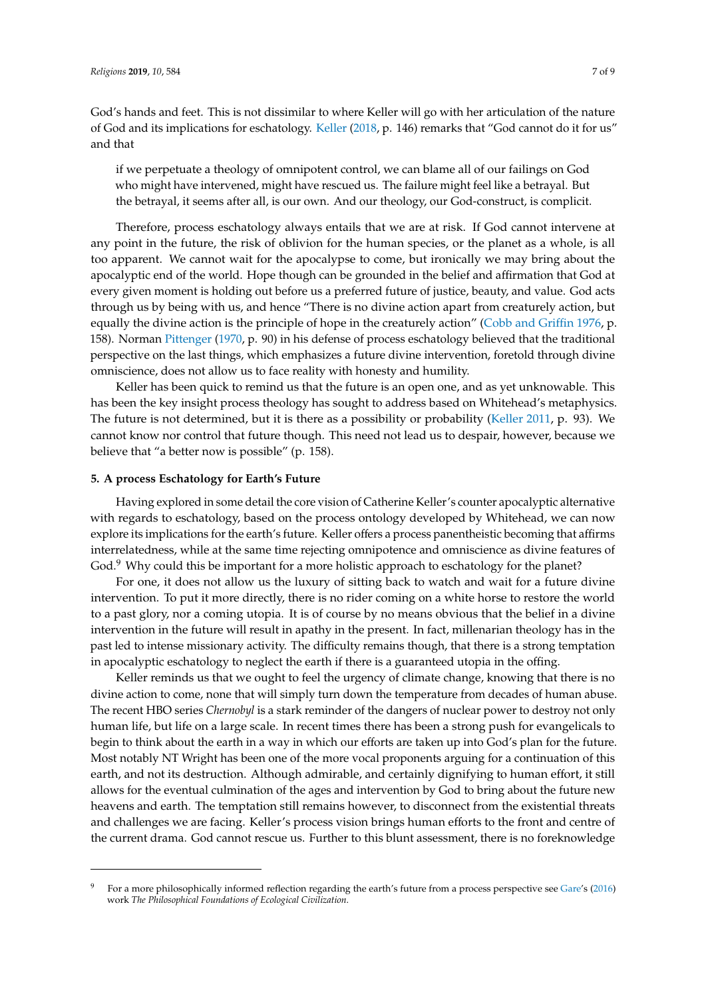if we perpetuate a theology of omnipotent control, we can blame all of our failings on God who might have intervened, might have rescued us. The failure might feel like a betrayal. But the betrayal, it seems after all, is our own. And our theology, our God-construct, is complicit.

Therefore, process eschatology always entails that we are at risk. If God cannot intervene at any point in the future, the risk of oblivion for the human species, or the planet as a whole, is all too apparent. We cannot wait for the apocalypse to come, but ironically we may bring about the apocalyptic end of the world. Hope though can be grounded in the belief and affirmation that God at every given moment is holding out before us a preferred future of justice, beauty, and value. God acts through us by being with us, and hence "There is no divine action apart from creaturely action, but equally the divine action is the principle of hope in the creaturely action" [\(Cobb and Gri](#page-8-24)ffin [1976,](#page-8-24) p. 158). Norman [Pittenger](#page-8-25) [\(1970,](#page-8-25) p. 90) in his defense of process eschatology believed that the traditional perspective on the last things, which emphasizes a future divine intervention, foretold through divine omniscience, does not allow us to face reality with honesty and humility.

Keller has been quick to remind us that the future is an open one, and as yet unknowable. This has been the key insight process theology has sought to address based on Whitehead's metaphysics. The future is not determined, but it is there as a possibility or probability [\(Keller](#page-8-26) [2011,](#page-8-26) p. 93). We cannot know nor control that future though. This need not lead us to despair, however, because we believe that "a better now is possible" (p. 158).

#### **5. A process Eschatology for Earth's Future**

Having explored in some detail the core vision of Catherine Keller's counter apocalyptic alternative with regards to eschatology, based on the process ontology developed by Whitehead, we can now explore its implications for the earth's future. Keller offers a process panentheistic becoming that affirms interrelatedness, while at the same time rejecting omnipotence and omniscience as divine features of God.<sup>9</sup> Why could this be important for a more holistic approach to eschatology for the planet?

For one, it does not allow us the luxury of sitting back to watch and wait for a future divine intervention. To put it more directly, there is no rider coming on a white horse to restore the world to a past glory, nor a coming utopia. It is of course by no means obvious that the belief in a divine intervention in the future will result in apathy in the present. In fact, millenarian theology has in the past led to intense missionary activity. The difficulty remains though, that there is a strong temptation in apocalyptic eschatology to neglect the earth if there is a guaranteed utopia in the offing.

Keller reminds us that we ought to feel the urgency of climate change, knowing that there is no divine action to come, none that will simply turn down the temperature from decades of human abuse. The recent HBO series *Chernobyl* is a stark reminder of the dangers of nuclear power to destroy not only human life, but life on a large scale. In recent times there has been a strong push for evangelicals to begin to think about the earth in a way in which our efforts are taken up into God's plan for the future. Most notably NT Wright has been one of the more vocal proponents arguing for a continuation of this earth, and not its destruction. Although admirable, and certainly dignifying to human effort, it still allows for the eventual culmination of the ages and intervention by God to bring about the future new heavens and earth. The temptation still remains however, to disconnect from the existential threats and challenges we are facing. Keller's process vision brings human efforts to the front and centre of the current drama. God cannot rescue us. Further to this blunt assessment, there is no foreknowledge

<sup>&</sup>lt;sup>9</sup> For a more philosophically informed reflection regarding the earth's future from a process perspective see [Gare'](#page-8-27)s [\(2016\)](#page-8-27) work *The Philosophical Foundations of Ecological Civilization*.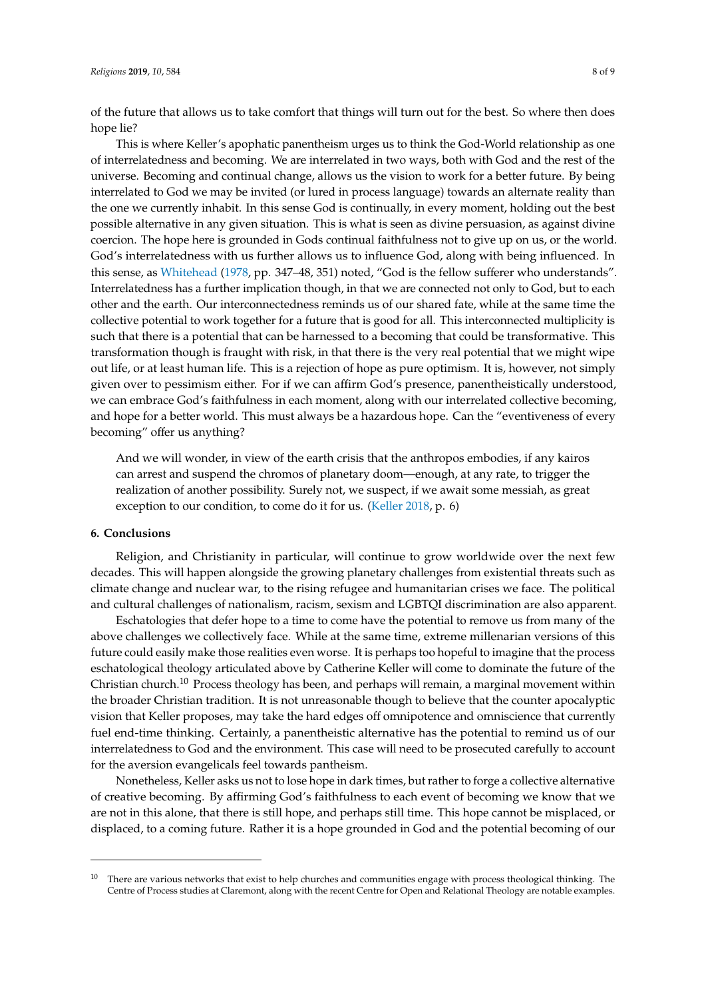of the future that allows us to take comfort that things will turn out for the best. So where then does hope lie?

This is where Keller's apophatic panentheism urges us to think the God-World relationship as one of interrelatedness and becoming. We are interrelated in two ways, both with God and the rest of the universe. Becoming and continual change, allows us the vision to work for a better future. By being interrelated to God we may be invited (or lured in process language) towards an alternate reality than the one we currently inhabit. In this sense God is continually, in every moment, holding out the best possible alternative in any given situation. This is what is seen as divine persuasion, as against divine coercion. The hope here is grounded in Gods continual faithfulness not to give up on us, or the world. God's interrelatedness with us further allows us to influence God, along with being influenced. In this sense, as [Whitehead](#page-8-18) [\(1978,](#page-8-18) pp. 347–48, 351) noted, "God is the fellow sufferer who understands". Interrelatedness has a further implication though, in that we are connected not only to God, but to each other and the earth. Our interconnectedness reminds us of our shared fate, while at the same time the collective potential to work together for a future that is good for all. This interconnected multiplicity is such that there is a potential that can be harnessed to a becoming that could be transformative. This transformation though is fraught with risk, in that there is the very real potential that we might wipe out life, or at least human life. This is a rejection of hope as pure optimism. It is, however, not simply given over to pessimism either. For if we can affirm God's presence, panentheistically understood, we can embrace God's faithfulness in each moment, along with our interrelated collective becoming, and hope for a better world. This must always be a hazardous hope. Can the "eventiveness of every becoming" offer us anything?

And we will wonder, in view of the earth crisis that the anthropos embodies, if any kairos can arrest and suspend the chromos of planetary doom—enough, at any rate, to trigger the realization of another possibility. Surely not, we suspect, if we await some messiah, as great exception to our condition, to come do it for us. [\(Keller](#page-8-1) [2018,](#page-8-1) p. 6)

# **6. Conclusions**

Religion, and Christianity in particular, will continue to grow worldwide over the next few decades. This will happen alongside the growing planetary challenges from existential threats such as climate change and nuclear war, to the rising refugee and humanitarian crises we face. The political and cultural challenges of nationalism, racism, sexism and LGBTQI discrimination are also apparent.

Eschatologies that defer hope to a time to come have the potential to remove us from many of the above challenges we collectively face. While at the same time, extreme millenarian versions of this future could easily make those realities even worse. It is perhaps too hopeful to imagine that the process eschatological theology articulated above by Catherine Keller will come to dominate the future of the Christian church.<sup>10</sup> Process theology has been, and perhaps will remain, a marginal movement within the broader Christian tradition. It is not unreasonable though to believe that the counter apocalyptic vision that Keller proposes, may take the hard edges off omnipotence and omniscience that currently fuel end-time thinking. Certainly, a panentheistic alternative has the potential to remind us of our interrelatedness to God and the environment. This case will need to be prosecuted carefully to account for the aversion evangelicals feel towards pantheism.

Nonetheless, Keller asks us not to lose hope in dark times, but rather to forge a collective alternative of creative becoming. By affirming God's faithfulness to each event of becoming we know that we are not in this alone, that there is still hope, and perhaps still time. This hope cannot be misplaced, or displaced, to a coming future. Rather it is a hope grounded in God and the potential becoming of our

There are various networks that exist to help churches and communities engage with process theological thinking. The Centre of Process studies at Claremont, along with the recent Centre for Open and Relational Theology are notable examples.